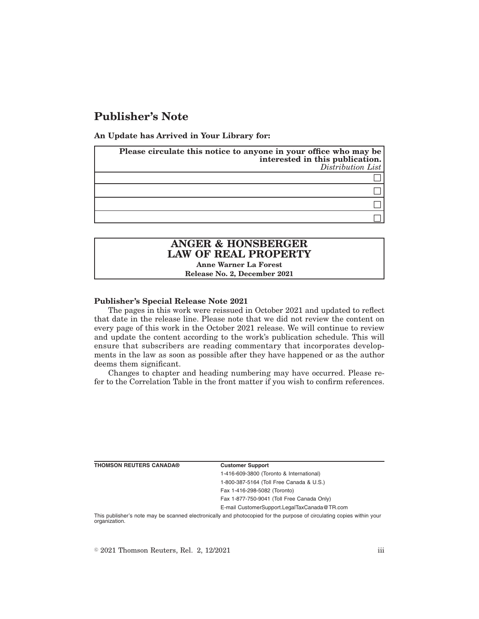## **Publisher's Note**

**An Update has Arrived in Your Library for:**

| Please circulate this notice to anyone in your office who may be<br>interested in this publication.<br>Distribution List |
|--------------------------------------------------------------------------------------------------------------------------|
|                                                                                                                          |
|                                                                                                                          |
|                                                                                                                          |
|                                                                                                                          |

# **ANGER & HONSBERGER LAW OF REAL PROPERTY**

**Anne Warner La Forest Release No. 2, December 2021**

## **Publisher's Special Release Note 2021**

The pages in this work were reissued in October 2021 and updated to reflect that date in the release line. Please note that we did not review the content on every page of this work in the October 2021 release. We will continue to review and update the content according to the work's publication schedule. This will ensure that subscribers are reading commentary that incorporates developments in the law as soon as possible after they have happened or as the author deems them significant.

Changes to chapter and heading numbering may have occurred. Please refer to the Correlation Table in the front matter if you wish to confirm references.

|  |  | THOMSON REUTERS CANADA® |  |
|--|--|-------------------------|--|
|--|--|-------------------------|--|

#### **Customer Support**

1-416-609-3800 (Toronto & International) 1-800-387-5164 (Toll Free Canada & U.S.) Fax 1-416-298-5082 (Toronto) Fax 1-877-750-9041 (Toll Free Canada Only) E-mail CustomerSupport.LegalTaxCanada@TR.com

This publisher's note may be scanned electronically and photocopied for the purpose of circulating copies within your organization.

 $\degree$  2021 Thomson Reuters, Rel. 2, 12/2021 iii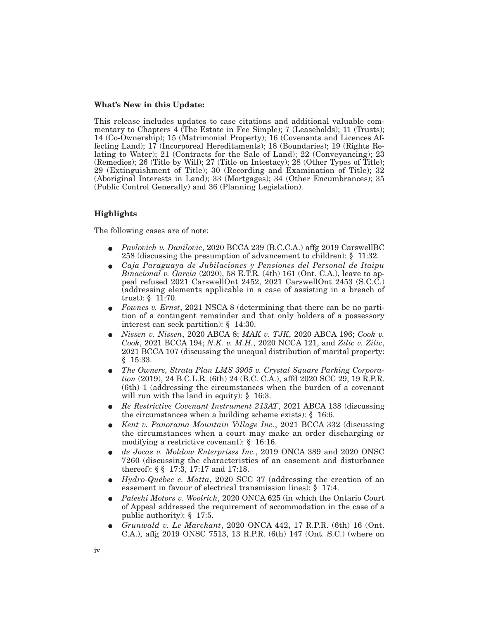### **What's New in this Update:**

This release includes updates to case citations and additional valuable commentary to Chapters 4 (The Estate in Fee Simple); 7 (Leaseholds); 11 (Trusts); 14 (Co-Ownership); 15 (Matrimonial Property); 16 (Covenants and Licences Affecting Land); 17 (Incorporeal Hereditaments); 18 (Boundaries); 19 (Rights Relating to Water); 21 (Contracts for the Sale of Land); 22 (Conveyancing); 23 (Remedies); 26 (Title by Will); 27 (Title on Intestacy); 28 (Other Types of Title); 29 (Extinguishment of Title); 30 (Recording and Examination of Title); 32 (Aboriginal Interests in Land); 33 (Mortgages); 34 (Other Encumbrances); 35 (Public Control Generally) and 36 (Planning Legislation).

## **Highlights**

The following cases are of note:

- E *Pavlovich v. Danilovic*, 2020 BCCA 239 (B.C.C.A.) affg 2019 CarswellBC 258 (discussing the presumption of advancement to children): § 11:32.
- E *Caja Paraguaya de Jubilaciones y Pensiones del Personal de Itaipu Binacional v. Garcia* (2020), 58 E.T.R. (4th) 161 (Ont. C.A.), leave to appeal refused 2021 CarswellOnt 2452, 2021 CarswellOnt 2453 (S.C.C.) (addressing elements applicable in a case of assisting in a breach of trust): § 11:70.
- E *Fownes v. Ernst*, 2021 NSCA 8 (determining that there can be no partition of a contingent remainder and that only holders of a possessory interest can seek partition): § 14:30.
- E *Nissen v. Nissen*, 2020 ABCA 8; *MAK v. TJK*, 2020 ABCA 196; *Cook v. Cook*, 2021 BCCA 194; *N.K. v. M.H.*, 2020 NCCA 121, and *Zilic v. Zilic*, 2021 BCCA 107 (discussing the unequal distribution of marital property: § 15:33.
- The Owners, Strata Plan LMS 3905 v. Crystal Square Parking Corpora*tion* (2019), 24 B.C.L.R. (6th) 24 (B.C. C.A.), affd 2020 SCC 29, 19 R.P.R. (6th) 1 (addressing the circumstances when the burden of a covenant will run with the land in equity): § 16:3.
- E *Re Restrictive Covenant Instrument 213AT*, 2021 ABCA 138 (discussing the circumstances when a building scheme exists): § 16:6.
- E *Kent v. Panorama Mountain Village Inc.*, 2021 BCCA 332 (discussing the circumstances when a court may make an order discharging or modifying a restrictive covenant): § 16:16.
- E *de Jocas v. Moldow Enterprises Inc.*, 2019 ONCA 389 and 2020 ONSC 7260 (discussing the characteristics of an easement and disturbance thereof): § § 17:3, 17:17 and 17:18.
- E *Hydro-Québec c. Matta*, 2020 SCC 37 (addressing the creation of an easement in favour of electrical transmission lines): § 17:4.
- E *Paleshi Motors v. Woolrich*, 2020 ONCA 625 (in which the Ontario Court of Appeal addressed the requirement of accommodation in the case of a public authority): § 17:5.
- E *Grunwald v. Le Marchant*, 2020 ONCA 442, 17 R.P.R. (6th) 16 (Ont. C.A.), affg 2019 ONSC 7513, 13 R.P.R. (6th) 147 (Ont. S.C.) (where on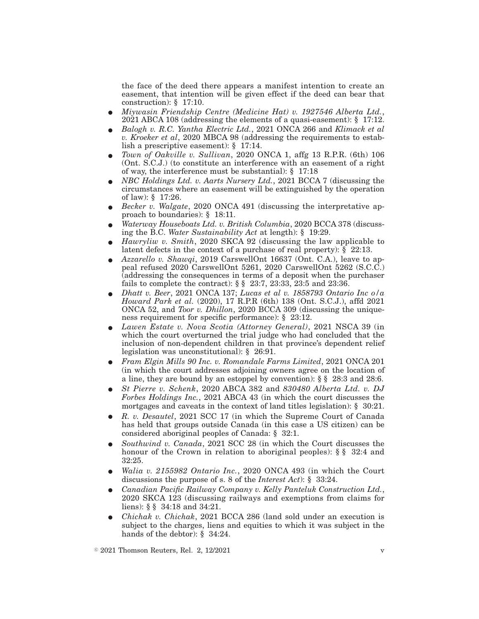the face of the deed there appears a manifest intention to create an easement, that intention will be given effect if the deed can bear that construction): § 17:10.

- E *Miywasin Friendship Centre (Medicine Hat) v. 1927546 Alberta Ltd.*, 2021 ABCA 108 (addressing the elements of a quasi-easement): § 17:12.
- E *Balogh v. R.C. Yantha Electric Ltd.*, 2021 ONCA 266 and *Klimack et al v. Kroeker et al*, 2020 MBCA 98 (addressing the requirements to establish a prescriptive easement): § 17:14.
- E *Town of Oakville v. Sullivan*, 2020 ONCA 1, affg 13 R.P.R. (6th) 106 (Ont. S.C.J.) (to constitute an interference with an easement of a right of way, the interference must be substantial): § 17:18
- E *NBC Holdings Ltd. v. Aarts Nursery Ltd.*, 2021 BCCA 7 (discussing the circumstances where an easement will be extinguished by the operation of law): § 17:26.
- Becker v. Walgate, 2020 ONCA 491 (discussing the interpretative approach to boundaries): § 18:11.
- E *Waterway Houseboats Ltd. v. British Columbia*, 2020 BCCA 378 (discussing the B.C. *Water Sustainability Act* at length): § 19:29.
- E *Hawryliw v. Smith*, 2020 SKCA 92 (discussing the law applicable to latent defects in the context of a purchase of real property): § 22:13.
- E *Azzarello v. Shawqi*, 2019 CarswellOnt 16637 (Ont. C.A.), leave to appeal refused 2020 CarswellOnt 5261, 2020 CarswellOnt 5262 (S.C.C.) (addressing the consequences in terms of a deposit when the purchaser fails to complete the contract): § § 23:7, 23:33, 23:5 and 23:36.
- E *Dhatt v. Beer*, 2021 ONCA 137; *Lucas et al v. 1858793 Ontario Inc o/a Howard Park et al.* (2020), 17 R.P.R (6th) 138 (Ont. S.C.J.), affd 2021 ONCA 52, and *Toor v. Dhillon*, 2020 BCCA 309 (discussing the uniqueness requirement for specific performance): § 23:12.
- E *Lawen Estate v. Nova Scotia (Attorney General)*, 2021 NSCA 39 (in which the court overturned the trial judge who had concluded that the inclusion of non-dependent children in that province's dependent relief legislation was unconstitutional): § 26:91.
- E *Fram Elgin Mills 90 Inc. v. Romandale Farms Limited*, 2021 ONCA 201 (in which the court addresses adjoining owners agree on the location of a line, they are bound by an estoppel by convention): § § 28:3 and 28:6.
- E *St Pierre v. Schenk*, 2020 ABCA 382 and *830480 Alberta Ltd. v. DJ Forbes Holdings Inc.*, 2021 ABCA 43 (in which the court discusses the mortgages and caveats in the context of land titles legislation): § 30:21.
- E *R. v. Desautel*, 2021 SCC 17 (in which the Supreme Court of Canada has held that groups outside Canada (in this case a US citizen) can be considered aboriginal peoples of Canada: § 32:1.
- E *Southwind v. Canada*, 2021 SCC 28 (in which the Court discusses the honour of the Crown in relation to aboriginal peoples): § § 32:4 and 32:25.
- E *Walia v. 2155982 Ontario Inc.*, 2020 ONCA 493 (in which the Court discussions the purpose of s. 8 of the *Interest Act*): § 33:24.
- E *Canadian Pacific Railway Company v. Kelly Panteluk Construction Ltd.*, 2020 SKCA 123 (discussing railways and exemptions from claims for liens): § § 34:18 and 34:21.
- E *Chichak v. Chichak*, 2021 BCCA 286 (land sold under an execution is subject to the charges, liens and equities to which it was subject in the hands of the debtor): § 34:24.

 $\textdegree$  2021 Thomson Reuters, Rel. 2, 12/2021 v